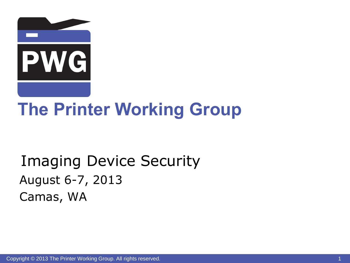

# **The Printer Working Group**

# Imaging Device Security August 6-7, 2013 Camas, WA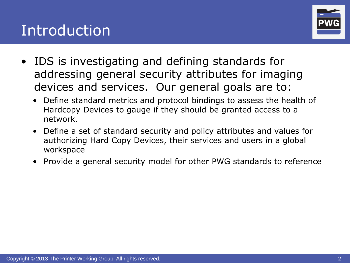### Introduction



- IDS is investigating and defining standards for addressing general security attributes for imaging devices and services. Our general goals are to:
	- Define standard metrics and protocol bindings to assess the health of Hardcopy Devices to gauge if they should be granted access to a network.
	- Define a set of standard security and policy attributes and values for authorizing Hard Copy Devices, their services and users in a global workspace
	- Provide a general security model for other PWG standards to reference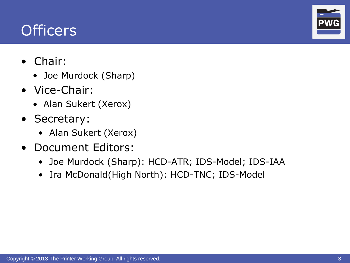### **Officers**

- Chair:
	- Joe Murdock (Sharp)
- Vice-Chair:
	- Alan Sukert (Xerox)
- Secretary:
	- Alan Sukert (Xerox)
- Document Editors:
	- Joe Murdock (Sharp): HCD-ATR; IDS-Model; IDS-IAA
	- Ira McDonald(High North): HCD-TNC; IDS-Model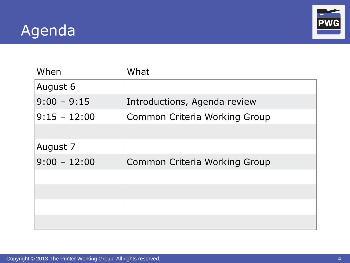# Agenda



| When           | What                          |
|----------------|-------------------------------|
| August 6       |                               |
| $9:00 - 9:15$  | Introductions, Agenda review  |
| $9:15 - 12:00$ | Common Criteria Working Group |
| August 7       |                               |
| $9:00 - 12:00$ | Common Criteria Working Group |
|                |                               |
|                |                               |
|                |                               |
|                |                               |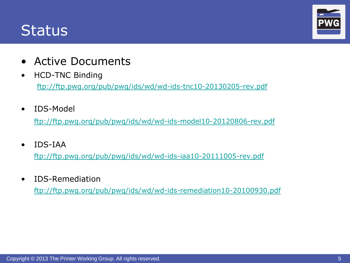#### **Status**



- Active Documents
- HCD-TNC Binding <ftp://ftp.pwg.org/pub/pwg/ids/wd/wd-ids-tnc10-20130205-rev.pdf>
- IDS-Model

[ftp://ftp.pwg.org/pub/pwg/ids/wd/wd-ids-model10-20120806-rev.pdf](ftp://ftp.pwg.org/pub/pwg/ids/wd/wd-ids-model10-20120803-rev.pdf)

• IDS-IAA

<ftp://ftp.pwg.org/pub/pwg/ids/wd/wd-ids-iaa10-20111005-rev.pdf>

• IDS-Remediation

<ftp://ftp.pwg.org/pub/pwg/ids/wd/wd-ids-remediation10-20100930.pdf>